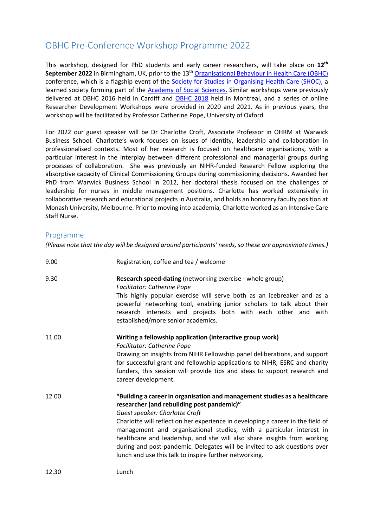# OBHC Pre-Conference Workshop Programme 2022

This workshop, designed for PhD students and early career researchers, will take place on **12th September 2022** in Birmingham, UK, prior to the 13th Organisational Behaviour in Health Care (OBHC) conference, which is a flagship event of the Society for Studies in Organising Health Care (SHOC), a learned society forming part of the Academy of Social Sciences. Similar workshops were previously delivered at OBHC 2016 held in Cardiff and OBHC 2018 held in Montreal, and a series of online Researcher Development Workshops were provided in 2020 and 2021. As in previous years, the workshop will be facilitated by Professor Catherine Pope, University of Oxford.

For 2022 our guest speaker will be Dr Charlotte Croft, Associate Professor in OHRM at Warwick Business School. Charlotte's work focuses on issues of identity, leadership and collaboration in professionalised contexts. Most of her research is focused on healthcare organisations, with a particular interest in the interplay between different professional and managerial groups during processes of collaboration. She was previously an NIHR-funded Research Fellow exploring the absorptive capacity of Clinical Commissioning Groups during commissioning decisions. Awarded her PhD from Warwick Business School in 2012, her doctoral thesis focused on the challenges of leadership for nurses in middle management positions. Charlotte has worked extensively in collaborative research and educational projects in Australia, and holds an honorary faculty position at Monash University, Melbourne. Prior to moving into academia, Charlotte worked as an Intensive Care Staff Nurse.

### Programme

*(Please note that the day will be designed around participants' needs, so these are approximate times.)*

| 9.00  | Registration, coffee and tea / welcome                                                                                                                                                                                                                                                                                                                                                                                                                                                                                                  |
|-------|-----------------------------------------------------------------------------------------------------------------------------------------------------------------------------------------------------------------------------------------------------------------------------------------------------------------------------------------------------------------------------------------------------------------------------------------------------------------------------------------------------------------------------------------|
| 9.30  | Research speed-dating (networking exercise - whole group)<br><b>Facilitator: Catherine Pope</b><br>This highly popular exercise will serve both as an icebreaker and as a<br>powerful networking tool, enabling junior scholars to talk about their<br>research interests and projects both with each other and with<br>established/more senior academics.                                                                                                                                                                              |
| 11.00 | Writing a fellowship application (interactive group work)<br><b>Facilitator: Catherine Pope</b><br>Drawing on insights from NIHR Fellowship panel deliberations, and support<br>for successful grant and fellowship applications to NIHR, ESRC and charity<br>funders, this session will provide tips and ideas to support research and<br>career development.                                                                                                                                                                          |
| 12.00 | "Building a career in organisation and management studies as a healthcare<br>researcher (and rebuilding post pandemic)"<br>Guest speaker: Charlotte Croft<br>Charlotte will reflect on her experience in developing a career in the field of<br>management and organisational studies, with a particular interest in<br>healthcare and leadership, and she will also share insights from working<br>during and post-pandemic. Delegates will be invited to ask questions over<br>lunch and use this talk to inspire further networking. |
| 12.30 | Lunch                                                                                                                                                                                                                                                                                                                                                                                                                                                                                                                                   |